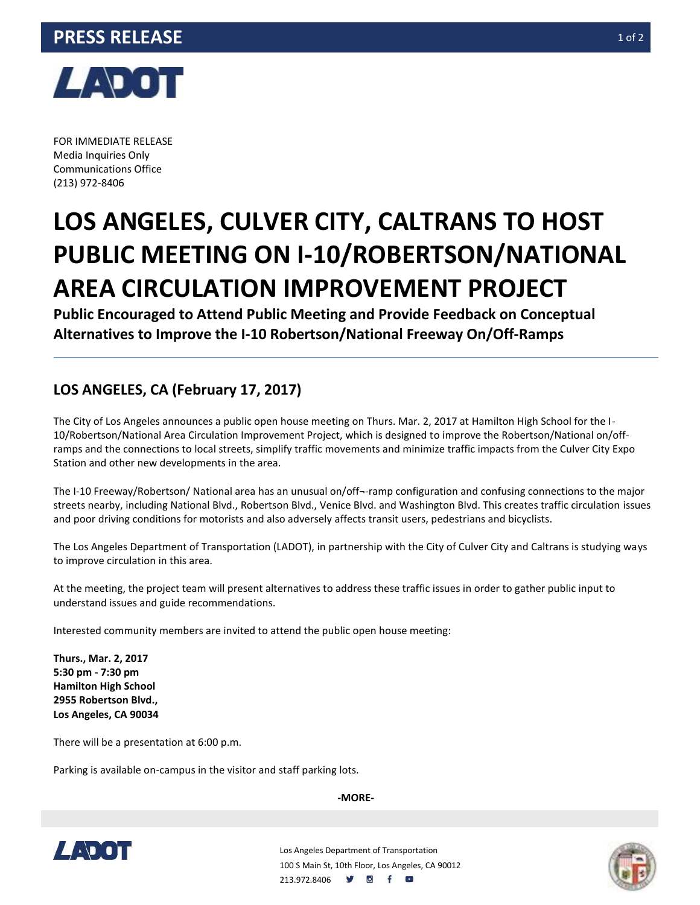

FOR IMMEDIATE RELEASE Media Inquiries Only Communications Office (213) 972-8406

## **LOS ANGELES, CULVER CITY, CALTRANS TO HOST PUBLIC MEETING ON I-10/ROBERTSON/NATIONAL AREA CIRCULATION IMPROVEMENT PROJECT**

**Public Encouraged to Attend Public Meeting and Provide Feedback on Conceptual Alternatives to Improve the I-10 Robertson/National Freeway On/Off-Ramps**

## **LOS ANGELES, CA (February 17, 2017)**

The City of Los Angeles announces a public open house meeting on Thurs. Mar. 2, 2017 at Hamilton High School for the I-10/Robertson/National Area Circulation Improvement Project, which is designed to improve the Robertson/National on/offramps and the connections to local streets, simplify traffic movements and minimize traffic impacts from the Culver City Expo Station and other new developments in the area.

The I-10 Freeway/Robertson/ National area has an unusual on/off¬-ramp configuration and confusing connections to the major streets nearby, including National Blvd., Robertson Blvd., Venice Blvd. and Washington Blvd. This creates traffic circulation issues and poor driving conditions for motorists and also adversely affects transit users, pedestrians and bicyclists.

The Los Angeles Department of Transportation (LADOT), in partnership with the City of Culver City and Caltrans is studying ways to improve circulation in this area.

At the meeting, the project team will present alternatives to address these traffic issues in order to gather public input to understand issues and guide recommendations.

Interested community members are invited to attend the public open house meeting:

**Thurs., Mar. 2, 2017 5:30 pm - 7:30 pm Hamilton High School 2955 Robertson Blvd., Los Angeles, CA 90034**

There will be a presentation at 6:00 p.m.

Parking is available on-campus in the visitor and staff parking lots.

**-MORE-**



Los Angeles Department of Transportation 100 S Main St, 10th Floor, Los Angeles, CA 90012 213.972.8406 **9 8 f**